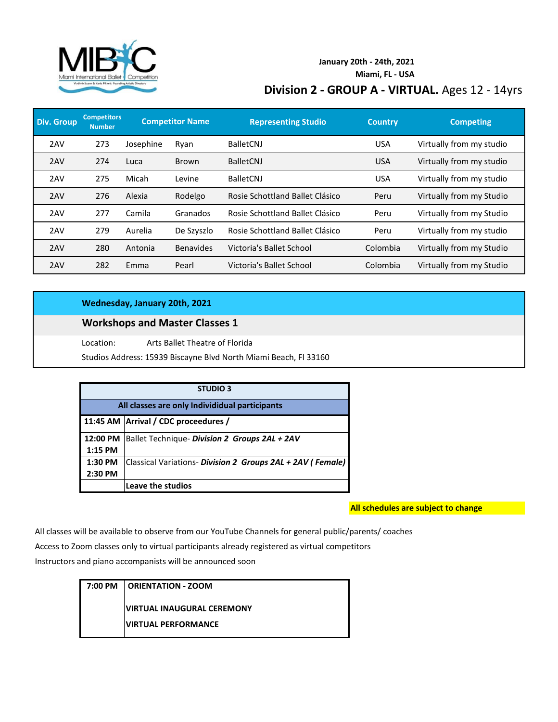

### **Division 2 - GROUP A - VIRTUAL.** Ages 12 - 14yrs **January 20th - 24th, 2021 Miami, FL - USA**

| <b>Div. Group</b> | <b>Competitors</b><br><b>Number</b> |           | <b>Competitor Name</b> | <b>Representing Studio</b>      | <b>Country</b> | <b>Competing</b>         |
|-------------------|-------------------------------------|-----------|------------------------|---------------------------------|----------------|--------------------------|
| 2AV               | 273                                 | Josephine | Ryan                   | <b>BalletCNJ</b>                | <b>USA</b>     | Virtually from my studio |
| 2AV               | 274                                 | Luca      | <b>Brown</b>           | <b>BalletCNJ</b>                | <b>USA</b>     | Virtually from my studio |
| 2AV               | 275                                 | Micah     | Levine                 | <b>BalletCNJ</b>                | <b>USA</b>     | Virtually from my studio |
| 2AV               | 276                                 | Alexia    | Rodelgo                | Rosie Schottland Ballet Clásico | Peru           | Virtually from my Studio |
| 2AV               | 277                                 | Camila    | Granados               | Rosie Schottland Ballet Clásico | Peru           | Virtually from my Studio |
| 2AV               | 279                                 | Aurelia   | De Szyszlo             | Rosie Schottland Ballet Clásico | Peru           | Virtually from my studio |
| 2AV               | 280                                 | Antonia   | <b>Benavides</b>       | Victoria's Ballet School        | Colombia       | Virtually from my Studio |
| 2AV               | 282                                 | Emma      | Pearl                  | Victoria's Ballet School        | Colombia       | Virtually from my Studio |

#### **Wednesday, January 20th, 2021**

#### **Workshops and Master Classes 1**

Location: Arts Ballet Theatre of Florida

Studios Address: 15939 Biscayne Blvd North Miami Beach, Fl 33160

| <b>STUDIO 3</b>                                |                                                            |  |
|------------------------------------------------|------------------------------------------------------------|--|
| All classes are only Individidual participants |                                                            |  |
|                                                | 11:45 AM Arrival / CDC proceedures /                       |  |
| 12:00 PM                                       | Ballet Technique- Division 2 Groups 2AL + 2AV              |  |
| $1:15$ PM                                      |                                                            |  |
| 1:30 PM                                        | Classical Variations- Division 2 Groups 2AL + 2AV (Female) |  |
| 2:30 PM                                        |                                                            |  |
|                                                | Leave the studios                                          |  |

**All schedules are subject to change**

All classes will be available to observe from our YouTube Channels for general public/parents/ coaches

Access to Zoom classes only to virtual participants already registered as virtual competitors

Instructors and piano accompanists will be announced soon

| 7:00 PM | <b>CORIENTATION - ZOOM</b>                                 |  |  |
|---------|------------------------------------------------------------|--|--|
|         | IVIRTUAL INAUGURAL CEREMONY<br><b>IVIRTUAL PERFORMANCE</b> |  |  |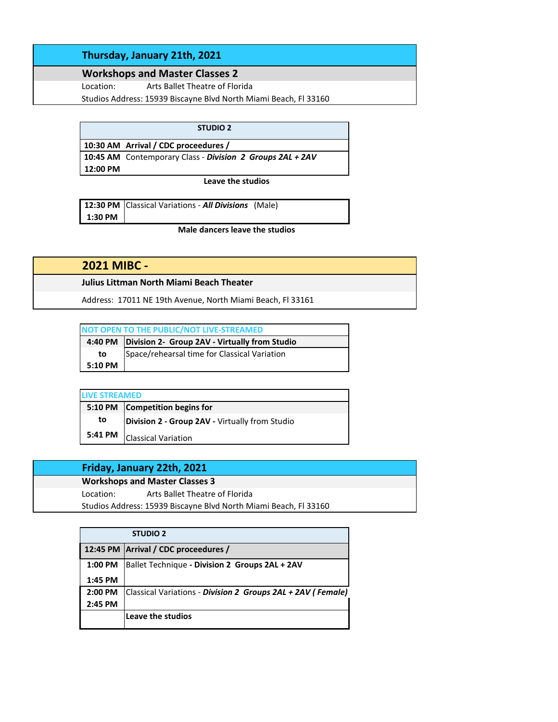#### **Thursday, January 21th, 2021**

## **Workshops and Master Classes 2**

Location: Arts Ballet Theatre of Florida

Studios Address: 15939 Biscayne Blvd North Miami Beach, Fl 33160

|          | <b>STUDIO 2</b>                                           |
|----------|-----------------------------------------------------------|
|          | 10:30 AM Arrival / CDC proceedures /                      |
|          | 10:45 AM Contemporary Class - Division 2 Groups 2AL + 2AV |
| 12:00 PM |                                                           |

**Leave the studios**

|         | 12:30 PM Classical Variations - All Divisions (Male) |  |
|---------|------------------------------------------------------|--|
| 1:30 PM |                                                      |  |

**Male dancers leave the studios**

| <b>2021 MIBC -</b>                                         |
|------------------------------------------------------------|
| Julius Littman North Miami Beach Theater                   |
| Address: 17011 NE 19th Avenue, North Miami Beach, Fl 33161 |

| NOT OPEN TO THE PUBLIC/NOT LIVE-STREAMED |                                                         |  |  |
|------------------------------------------|---------------------------------------------------------|--|--|
|                                          | 4:40 PM   Division 2- Group 2AV - Virtually from Studio |  |  |
| to                                       | Space/rehearsal time for Classical Variation            |  |  |
| 5:10 PM                                  |                                                         |  |  |

| <b>LIVE STREAMED</b> |                                                |  |
|----------------------|------------------------------------------------|--|
|                      | 5:10 PM Competition begins for                 |  |
| to                   | Division 2 - Group 2AV - Virtually from Studio |  |
| 5:41 PM              | Classical Variation                            |  |

### **Friday, January 22th, 2021**

**Workshops and Master Classes 3** Location: Arts Ballet Theatre of Florida Studios Address: 15939 Biscayne Blvd North Miami Beach, Fl 33160

|         | <b>STUDIO 2</b>                                             |
|---------|-------------------------------------------------------------|
|         | 12:45 PM   Arrival / CDC proceedures /                      |
| 1:00 PM | Ballet Technique - Division 2 Groups 2AL + 2AV              |
| 1:45 PM |                                                             |
| 2:00 PM | Classical Variations - Division 2 Groups 2AL + 2AV (Female) |
| 2:45 PM |                                                             |
|         | Leave the studios                                           |